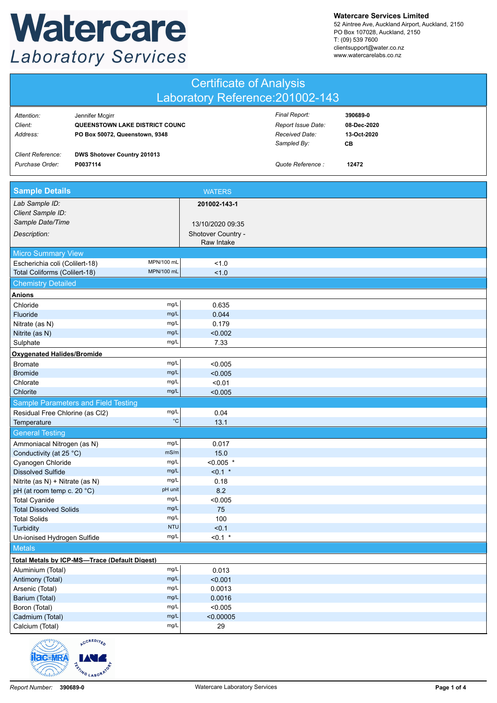## Watercare **Laboratory Services**

**Watercare Services Limited**

52 Aintree Ave, Auckland Airport, Auckland, 2150 PO Box 107028, Auckland, 2150 T: (09) 539 7600 clientsupport@water.co.nz www.watercarelabs.co.nz

|                                   | <b>Certificate of Analysis</b><br>Laboratory Reference: 201002-143                  |                                                       |                                        |  |  |
|-----------------------------------|-------------------------------------------------------------------------------------|-------------------------------------------------------|----------------------------------------|--|--|
| Attention:<br>Client:<br>Address: | Jennifer Mcgirr<br>QUEENSTOWN LAKE DISTRICT COUNC<br>PO Box 50072, Queenstown, 9348 | Final Report:<br>Report Issue Date:<br>Received Date: | 390689-0<br>08-Dec-2020<br>13-Oct-2020 |  |  |
| <b>Client Reference:</b>          | DWS Shotover Country 201013                                                         | Sampled By:                                           | CB.                                    |  |  |
| Purchase Order:                   | P0037114                                                                            | Quote Reference:                                      | 12472                                  |  |  |

| <b>Sample Details</b>                         |                   | <b>WATERS</b>      |  |
|-----------------------------------------------|-------------------|--------------------|--|
| Lab Sample ID:                                |                   | 201002-143-1       |  |
| Client Sample ID:                             |                   |                    |  |
| Sample Date/Time                              |                   | 13/10/2020 09:35   |  |
| Description:                                  |                   | Shotover Country - |  |
|                                               |                   | Raw Intake         |  |
| <b>Micro Summary View</b>                     |                   |                    |  |
| Escherichia coli (Colilert-18)                | MPN/100 mL        | 1.0                |  |
| Total Coliforms (Colilert-18)                 | <b>MPN/100 mL</b> | 1.0                |  |
| <b>Chemistry Detailed</b>                     |                   |                    |  |
| <b>Anions</b>                                 |                   |                    |  |
| Chloride                                      | mg/L              | 0.635              |  |
| Fluoride                                      | mg/L              | 0.044              |  |
| Nitrate (as N)                                | mg/L              | 0.179              |  |
| Nitrite (as N)                                | mg/L              | < 0.002            |  |
| Sulphate                                      | mg/L              | 7.33               |  |
| Oxygenated Halides/Bromide                    |                   |                    |  |
| <b>Bromate</b>                                | mg/L              | < 0.005            |  |
| <b>Bromide</b>                                | mg/L              | < 0.005            |  |
| Chlorate                                      | mg/L              | < 0.01             |  |
| Chlorite                                      | mg/L              | < 0.005            |  |
| Sample Parameters and Field Testing           |                   |                    |  |
| Residual Free Chlorine (as Cl2)               | mg/L              | 0.04               |  |
| Temperature                                   | $^{\circ}{\rm C}$ | 13.1               |  |
| <b>General Testing</b>                        |                   |                    |  |
| Ammoniacal Nitrogen (as N)                    | mg/L              | 0.017              |  |
| Conductivity (at 25 °C)                       | mS/m              | 15.0               |  |
| Cyanogen Chloride                             | mg/L              | $< 0.005$ *        |  |
| <b>Dissolved Sulfide</b>                      | mg/L              | $< 0.1$ *          |  |
| Nitrite (as N) + Nitrate (as N)               | mg/L              | 0.18               |  |
| pH (at room temp c. 20 °C)                    | pH unit           | 8.2                |  |
| <b>Total Cyanide</b>                          | mg/L              | < 0.005            |  |
| <b>Total Dissolved Solids</b>                 | mg/L              | 75                 |  |
| <b>Total Solids</b>                           | mg/L              | 100                |  |
| Turbidity                                     | <b>NTU</b>        | < 0.1              |  |
| Un-ionised Hydrogen Sulfide                   | mg/L              | $< 0.1$ *          |  |
| <b>Metals</b>                                 |                   |                    |  |
| Total Metals by ICP-MS-Trace (Default Digest) |                   |                    |  |
| Aluminium (Total)                             | mg/L              | 0.013              |  |
| Antimony (Total)                              | mg/L              | < 0.001            |  |
| Arsenic (Total)                               | mg/L              | 0.0013             |  |
| Barium (Total)                                | mg/L              | 0.0016             |  |
| Boron (Total)                                 | mg/L              | < 0.005            |  |
| Cadmium (Total)                               | mg/L              | < 0.00005          |  |
| Calcium (Total)                               | mg/L              | 29                 |  |



**TOTING LABORATO**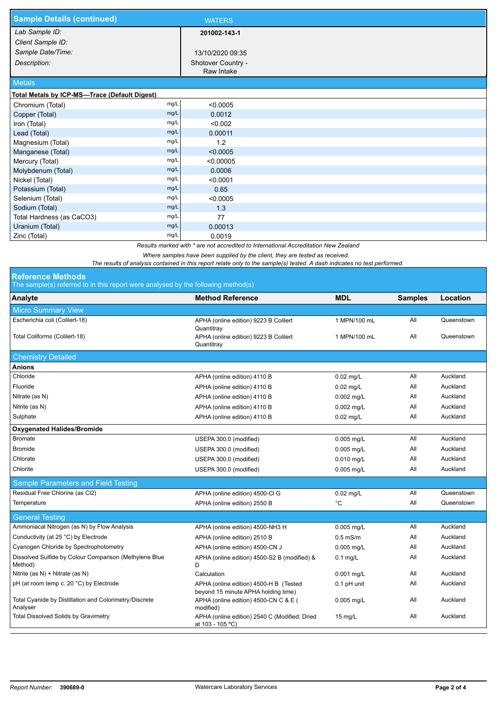| <b>Sample Details (continued)</b>             |      | <b>WATERS</b>                    |  |
|-----------------------------------------------|------|----------------------------------|--|
| Lab Sample ID:                                |      | 201002-143-1                     |  |
| Client Sample ID:                             |      |                                  |  |
| Sample Date/Time:                             |      | 13/10/2020 09:35                 |  |
| Description:                                  |      | Shotover Country -<br>Raw Intake |  |
| <b>Metals</b>                                 |      |                                  |  |
| Total Metals by ICP-MS-Trace (Default Digest) |      |                                  |  |
| Chromium (Total)                              | mg/L | < 0.0005                         |  |
| Copper (Total)                                | mg/L | 0.0012                           |  |
| Iron (Total)                                  | mg/L | < 0.002                          |  |
| Lead (Total)                                  | mg/L | 0.00011                          |  |
| Magnesium (Total)                             | mg/L | 1.2                              |  |
| Manganese (Total)                             | mg/L | < 0.0005                         |  |
| Mercury (Total)                               | mg/L | < 0.00005                        |  |
| Molybdenum (Total)                            | mg/L | 0.0006                           |  |
| Nickel (Total)                                | mg/L | < 0.0001                         |  |
| Potassium (Total)                             | mg/L | 0.65                             |  |
| Selenium (Total)                              | mg/L | < 0.0005                         |  |
| Sodium (Total)                                | mg/L | 1.3                              |  |
| Total Hardness (as CaCO3)                     | mg/L | 77                               |  |
| Uranium (Total)                               | mg/L | 0.00013                          |  |
| Zinc (Total)                                  | mg/L | 0.0019                           |  |

*Results marked with \* are not accredited to International Accreditation New Zealand*

*Where samples have been supplied by the client, they are tested as received.* 

*The results of analysis contained in this report relate only to the sample(s) tested. A dash indicates no test performed.*

## The sample(s) referred to in this report were analysed by the following method(s) **Reference Methods**

| Analyte                                                            | <b>Method Reference</b>                                                       | <b>MDL</b>   | <b>Samples</b> | Location   |
|--------------------------------------------------------------------|-------------------------------------------------------------------------------|--------------|----------------|------------|
| <b>Micro Summary View</b>                                          |                                                                               |              |                |            |
| Escherichia coli (Colilert-18)                                     | APHA (online edition) 9223 B Colilert<br>Quantitray                           | 1 MPN/100 mL | All            | Queenstown |
| Total Coliforms (Colilert-18)                                      | APHA (online edition) 9223 B Colilert<br>Quantitray                           | 1 MPN/100 mL | All            | Queenstown |
| <b>Chemistry Detailed</b>                                          |                                                                               |              |                |            |
| <b>Anions</b>                                                      |                                                                               |              |                |            |
| Chloride                                                           | APHA (online edition) 4110 B                                                  | $0.02$ mg/L  | All            | Auckland   |
| Fluoride                                                           | APHA (online edition) 4110 B                                                  | $0.02$ mg/L  | All            | Auckland   |
| Nitrate (as N)                                                     | APHA (online edition) 4110 B                                                  | 0.002 mg/L   | All            | Auckland   |
| Nitrite (as N)                                                     | APHA (online edition) 4110 B                                                  | $0.002$ mg/L | All            | Auckland   |
| Sulphate                                                           | APHA (online edition) 4110 B                                                  | $0.02$ mg/L  | All            | Auckland   |
| <b>Oxygenated Halides/Bromide</b>                                  |                                                                               |              |                |            |
| <b>Bromate</b>                                                     | USEPA 300.0 (modified)                                                        | 0.005 mg/L   | All            | Auckland   |
| <b>Bromide</b>                                                     | USEPA 300.0 (modified)                                                        | $0.005$ mg/L | All            | Auckland   |
| Chlorate                                                           | USEPA 300.0 (modified)                                                        | 0.010 mg/L   | All            | Auckland   |
| Chlorite                                                           | USEPA 300.0 (modified)                                                        | 0.005 mg/L   | All            | Auckland   |
| Sample Parameters and Field Testing                                |                                                                               |              |                |            |
| Residual Free Chlorine (as Cl2)                                    | APHA (online edition) 4500-Cl G                                               | $0.02$ mg/L  | All            | Queenstown |
| Temperature                                                        | APHA (online edition) 2550 B                                                  | °C           | All            | Queenstown |
| <b>General Testing</b>                                             |                                                                               |              |                |            |
| Ammoniacal Nitrogen (as N) by Flow Analysis                        | APHA (online edition) 4500-NH3 H                                              | 0.005 mg/L   | All            | Auckland   |
| Conductivity (at 25 °C) by Electrode                               | APHA (online edition) 2510 B                                                  | $0.5$ mS/m   | All            | Auckland   |
| Cyanogen Chloride by Spectrophotometry                             | APHA (online edition) 4500-CN J                                               | 0.005 mg/L   | All            | Auckland   |
| Dissolved Sulfide by Colour Comparison (Methylene Blue<br>Method)  | APHA (online edition) 4500-S2 B (modified) &<br>D                             | $0.1$ mg/L   | All            | Auckland   |
| Nitrite (as N) + Nitrate (as N)                                    | Calculation                                                                   | 0.001 mg/L   | All            | Auckland   |
| pH (at room temp c. 20 °C) by Electrode                            | APHA (online edition) 4500-H B (Tested<br>beyond 15 minute APHA holding time) | 0.1 pH unit  | All            | Auckland   |
| Total Cyanide by Distillation and Colorimetry/Discrete<br>Analyser | APHA (online edition) 4500-CN C & E (<br>modified)                            | 0.005 mg/L   | All            | Auckland   |
| <b>Total Dissolved Solids by Gravimetry</b>                        | APHA (online edition) 2540 C (Modified: Dried<br>at 103 - 105 °C)             | $15$ mg/L    | All            | Auckland   |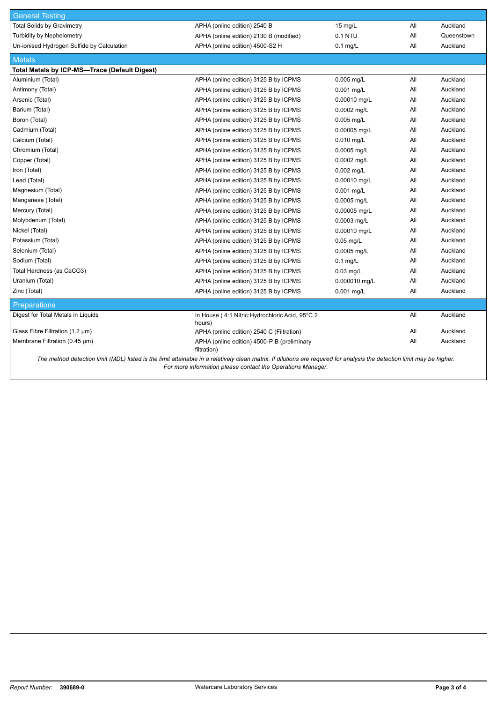| <b>General Testing</b>                                                                                                                                                  |                                                            |                   |     |            |  |
|-------------------------------------------------------------------------------------------------------------------------------------------------------------------------|------------------------------------------------------------|-------------------|-----|------------|--|
| <b>Total Solids by Gravimetry</b>                                                                                                                                       | APHA (online edition) 2540 B                               | $15 \text{ mg/L}$ | All | Auckland   |  |
| <b>Turbidity by Nephelometry</b>                                                                                                                                        | APHA (online edition) 2130 B (modified)                    | 0.1 NTU           | All | Queenstown |  |
| Un-ionised Hydrogen Sulfide by Calculation                                                                                                                              | APHA (online edition) 4500-S2 H                            | $0.1$ mg/L        | All | Auckland   |  |
| <b>Metals</b>                                                                                                                                                           |                                                            |                   |     |            |  |
| <b>Total Metals by ICP-MS-Trace (Default Digest)</b>                                                                                                                    |                                                            |                   |     |            |  |
| Aluminium (Total)                                                                                                                                                       | APHA (online edition) 3125 B by ICPMS                      | 0.005 mg/L        | All | Auckland   |  |
| Antimony (Total)                                                                                                                                                        | APHA (online edition) 3125 B by ICPMS                      | $0.001$ mg/L      | All | Auckland   |  |
| Arsenic (Total)                                                                                                                                                         | APHA (online edition) 3125 B by ICPMS                      | 0.00010 mg/L      | All | Auckland   |  |
| Barium (Total)                                                                                                                                                          | APHA (online edition) 3125 B by ICPMS                      | 0.0002 mg/L       | All | Auckland   |  |
| Boron (Total)                                                                                                                                                           | APHA (online edition) 3125 B by ICPMS                      | $0.005$ mg/L      | All | Auckland   |  |
| Cadmium (Total)                                                                                                                                                         | APHA (online edition) 3125 B by ICPMS                      | 0.00005 mg/L      | All | Auckland   |  |
| Calcium (Total)                                                                                                                                                         | APHA (online edition) 3125 B by ICPMS                      | $0.010$ mg/L      | All | Auckland   |  |
| Chromium (Total)                                                                                                                                                        | APHA (online edition) 3125 B by ICPMS                      | 0.0005 mg/L       | All | Auckland   |  |
| Copper (Total)                                                                                                                                                          | APHA (online edition) 3125 B by ICPMS                      | 0.0002 mg/L       | All | Auckland   |  |
| Iron (Total)                                                                                                                                                            | APHA (online edition) 3125 B by ICPMS                      | 0.002 mg/L        | All | Auckland   |  |
| Lead (Total)                                                                                                                                                            | APHA (online edition) 3125 B by ICPMS                      | 0.00010 mg/L      | All | Auckland   |  |
| Magnesium (Total)                                                                                                                                                       | APHA (online edition) 3125 B by ICPMS                      | 0.001 mg/L        | All | Auckland   |  |
| Manganese (Total)                                                                                                                                                       | APHA (online edition) 3125 B by ICPMS                      | 0.0005 mg/L       | All | Auckland   |  |
| Mercury (Total)                                                                                                                                                         | APHA (online edition) 3125 B by ICPMS                      | 0.00005 mg/L      | All | Auckland   |  |
| Molybdenum (Total)                                                                                                                                                      | APHA (online edition) 3125 B by ICPMS                      | 0.0003 mg/L       | All | Auckland   |  |
| Nickel (Total)                                                                                                                                                          | APHA (online edition) 3125 B by ICPMS                      | 0.00010 mg/L      | All | Auckland   |  |
| Potassium (Total)                                                                                                                                                       | APHA (online edition) 3125 B by ICPMS                      | $0.05$ mg/L       | All | Auckland   |  |
| Selenium (Total)                                                                                                                                                        | APHA (online edition) 3125 B by ICPMS                      | 0.0005 mg/L       | All | Auckland   |  |
| Sodium (Total)                                                                                                                                                          | APHA (online edition) 3125 B by ICPMS                      | $0.1$ mg/L        | All | Auckland   |  |
| Total Hardness (as CaCO3)                                                                                                                                               | APHA (online edition) 3125 B by ICPMS                      | $0.03$ mg/L       | All | Auckland   |  |
| Uranium (Total)                                                                                                                                                         | APHA (online edition) 3125 B by ICPMS                      | 0.000010 mg/L     | All | Auckland   |  |
| Zinc (Total)                                                                                                                                                            | APHA (online edition) 3125 B by ICPMS                      | 0.001 mg/L        | All | Auckland   |  |
| <b>Preparations</b>                                                                                                                                                     |                                                            |                   |     |            |  |
| Digest for Total Metals in Liquids                                                                                                                                      | In House (4:1 Nitric: Hydrochloric Acid, 95°C 2<br>hours)  |                   | All | Auckland   |  |
| Glass Fibre Filtration (1.2 µm)                                                                                                                                         | APHA (online edition) 2540 C (Filtration)                  |                   | All | Auckland   |  |
| Membrane Filtration (0.45 µm)                                                                                                                                           | APHA (online edition) 4500-P B (preliminary<br>filtration) |                   | All | Auckland   |  |
| The method detection limit (MDL) listed is the limit attainable in a relatively clean matrix. If dilutions are required for analysis the detection limit may be higher. |                                                            |                   |     |            |  |

*For more information please contact the Operations Manager.*